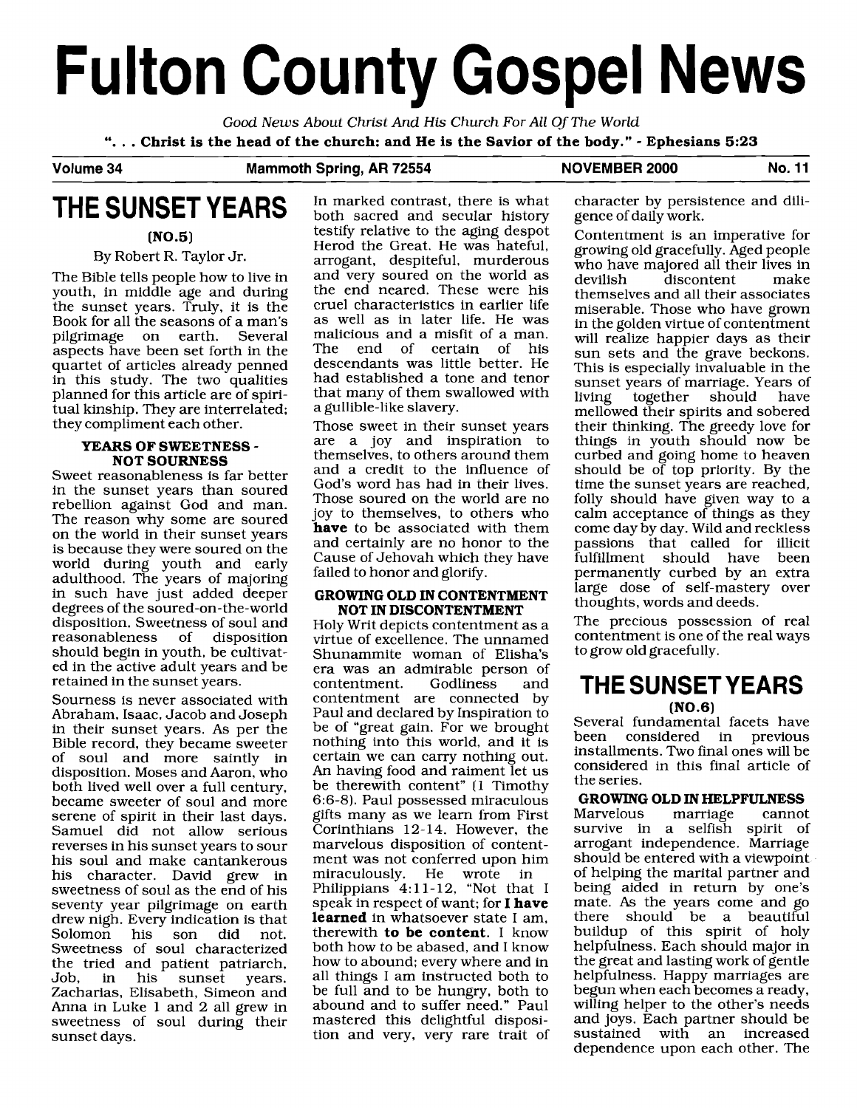# **Fulton County Gospel News**

Good News About Christ And **His** Church For All Of The World ". . . **Christ is the head of the church: and He is the Savior of the body."** - **Ephesians 5:23** 

#### Volume 34 Mammoth Spring, AR 72554 NOVEMBER 2000 No. 11

# **THE SUNSET YEARS**

**(N0.5)** 

#### By Robert R. Taylor Jr.

The Bible tells people how to live in youth, in middle age and during the sunset years. Truly, it is the Book for all the seasons of a man's pilgrimage on earth. Several aspects have been set forth in the quartet of articles already penned in this study. The two qualities planned for this article are of spiritual kinship. They are interrelated; they compliment each other.

#### **YEARS OF SWEETNESS** - **NOT SOURNESS**

Sweet reasonableness is far better in the sunset years than soured rebellion against God and man. The reason why some are soured on the world in their sunset years is because they were soured on the world during youth and early adulthood. The years of majoring in such have just added deeper degrees of the soured-on-the-world disposition. Sweetness of soul and reasonableness of disposition should begin in youth, be cultivated in the active adult years and be retained in the sunset years.

Sourness is never associated with Abraham, Isaac, Jacob and Joseph in their sunset years. As per the Bible record, they became sweeter of soul and more saintly in disposition. Moses and Aaron, who both lived well over a full century, became sweeter of soul and more serene of spirit in their last days. Samuel did not allow serious reverses in his sunset years to sour his soul and make cantankerous his character. David grew in sweetness of soul as the end of his seventy year pilgrimage on earth drew nigh. Every indication is that Solomon his son did not. Sweetness of soul characterized the tried and patient patriarch,<br>Job, in his sunset vears. sunset years. Zacharias, Elisabeth, Simeon and Anna in Luke 1 and 2 all grew in sweetness of soul during their sunset days.

In marked contrast, there is what both sacred and secular history testify relative to the aging despot Herod the Great. He was hateful, arrogant, despiteful, murderous and very soured on the world as the end neared. These were his cruel characteristics in earlier life as well as in later life. He was malicious and a misfit of a man.<br>The end of certain of his end of certain of his descendants was little better. He had established a tone and tenor that many of them swallowed with a gullible-like slavery.

Those sweet in their sunset years are a joy and inspiration to themselves, to others around them and a credit to the influence of God's word has had in their lives. Those soured on the world are no joy to themselves, to others who **have** to be associated with them and certainly are no honor to the Cause of Jehovah which they have failed to honor and glorify.

#### **GROWING OLD IN CONTENTMENT NOT IN DISCONTENTMENT**

Holy Writ depicts contentment as a virtue of excellence. The unnamed Shunammite woman of Elisha's era was an admirable person of contentment. contentment are connected by Paul and declared by Inspiration to be of "great gain. For we brought nothing into this world, and it is certain we can carry nothing out. An having food and raiment let us be therewith content" (1 Timothy 6:6-8). Paul possessed miraculous gifts many as we learn from First Corinthians 12-14. However, the marvelous disposition of contentment was not conferred upon him<br>miraculously. He wrote in miraculously. He wrote Philippians 4:ll-12, "Not that I speak in respect of want; for I **have learned** in whatsoever state I am, therewith **to be content.** I know both how to be abased, and I know how to abound; every where and in all things I am instructed both to be full and to be hungry, both to abound and to suffer need." Paul mastered this delightful disposition and very, very rare trait of character by persistence and diligence of daily work.

Contentment is an imperative for growing old gracefully. Aged people who have majored all their lives in<br>devilish discontent make discontent themselves and all their associates miserable. Those who have grown in the golden virtue of contentment will realize happier days as their sun sets and the grave beckons. This is especially invaluable in the sunset years of marriage. Years of<br>living together should have together should mellowed their spirits and sobered their thinking. The greedy love for things in youth should now be curbed and going home to heaven should be of top priority. By the time the sunset years are reached, folly should have given way to a calm acceptance of things as they come day by day. Wild and reckless passions that called for illicit fulfillment should have permanently curbed by an extra large dose of self-mastery over thoughts, words and deeds.

The precious possession of real contentment is one of the real ways to grow old gracefully.

## **THE SUNSETYEARS (N0.6)**

Several fundamental facets have been considered in previous installments. Two final ones will be considered in this final article of the series.

## **GROWING OLD IN HELPFULNESS**

Marvelous survive in a selfish spirit of arrogant independence. Marriage should be entered with a viewpoint of helping the marital partner and being aided in return by one's mate. As the years come and go there should be a beautiful buildup of this spirit of holy helpfulness. Each should major in the great and lasting work of gentle helpfulness. Happy marriages are begun when each becomes a ready, willing helper to the other's needs and joys. Each partner should be sustained with an increased dependence upon each other. The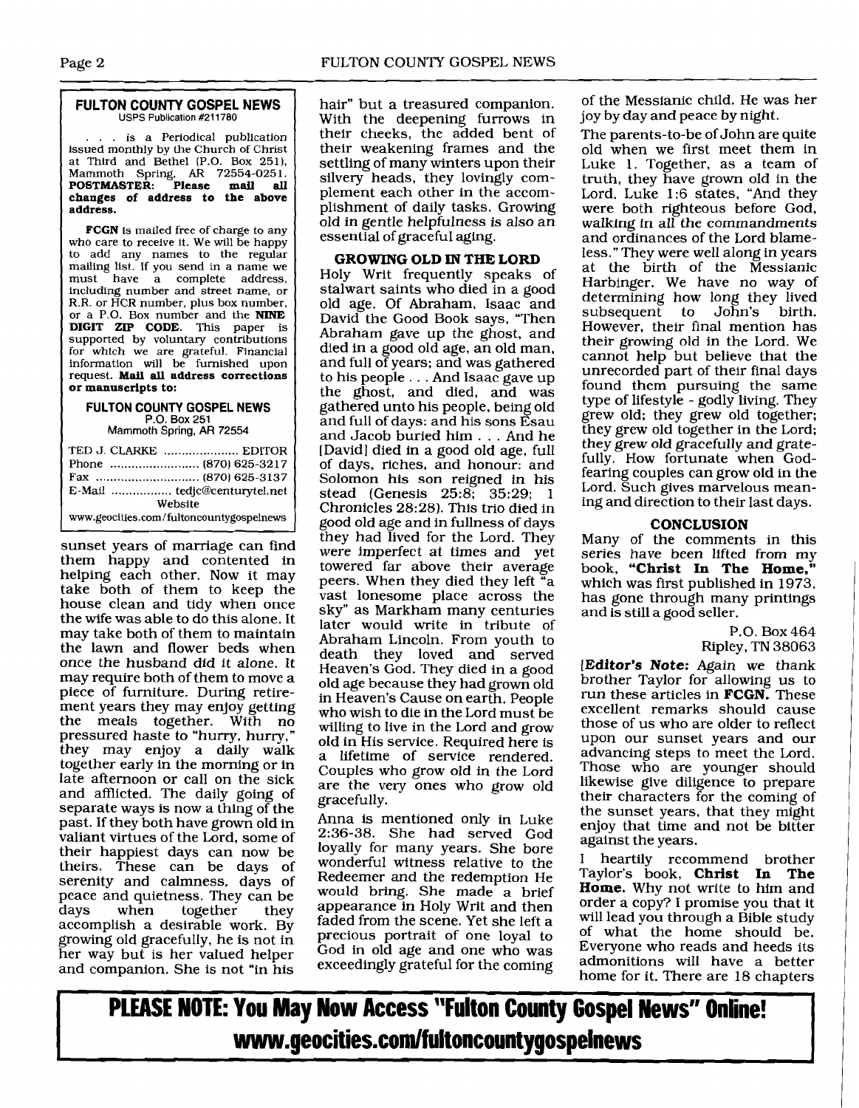## **FULTON COUNTY GOSPEL NEWS**<br>USPS Publication #211780

. is a Periodical publication issued monthly by the Church of Christ at Third and Bethel (P.O. Box 251). Mammoth Spring, **AR** 72554-025 1. **POSTMASTER: Please mail all changes of address to the above address.** 

**FCGN** is mailed free of charge to **any**  who care to receive it. We will be happy to add any names to the regular mailing list. If you send in a name we<br>must have a complete address. have a complete address, including number and street name, or R.R. or HCR number, plus box number, or a P.O. Box number and the **NINE DIGIT ZIP CODE.** This paper is supported by voluntary contributions for which we are grateful. Financial information will be furnished upon request. **Mail all address corrections or manuscripts to:** 

#### **FULTON COLINTY GOSPEL NEWS P.O.** Box **251**

Mammoth Spring, AR 72554

| TED J. CLARKE  EDITOR                    |  |
|------------------------------------------|--|
|                                          |  |
|                                          |  |
|                                          |  |
| Website                                  |  |
| www.geocities.com/fultoncountygospelnews |  |

sunset years of marriage can find them happy and contented in helping each other. Now it may take both of them to keep the house clean and tidy when once the wife was able to do this alone. It may take both of them to maintain the lawn and flower beds when once the husband did it alone. It may require both of them to move a piece of furniture. During retirement years they may enjoy getting the meals together. With no pressured haste to "hurry, hurry," they may enjoy a daily walk together early in the morning or in late afternoon or call on the sick and afflicted. The daily going of separate ways is now a thing of the past. If they both have grown old in valiant virtues of the Lord, some of their happiest days can now be theirs. These can be days of serenity and calmness, days of peace and quietness. They can be<br>days when together they together accomplish a desirable work. By growing old gracefully, he is not in her way but is her valued helper and companion. She is not "in his

hair" but a treasured companion. With the deepening furrows in their cheeks, the added bent of their weakening frames and the settling of many winters upon their silvery heads, they lovingly complement each other in the accomplishment of daily tasks. Growing old in gentle helpfulness is also an essential of graceful aging.

#### **GROWING OLD IN THE LORD**

Holy Writ frequently speaks of stalwart saints who died in a good old age. Of Abraham, Isaac and David the Good Book says, "Then Abraham gave up the ghost, and died in a good old age, an old man, and full of years; and was gathered to his people ... And Isaac gave up the ghost, and died, and was gathered unto his people, being old and full of days: and his sons Esau and Jacob buried him ... And he [David] died in a good old age, full of days, riches, and honour: and Solomon his son reigned in his stead (Genesis  $25:8; 35:29; 1$ Chronicles 28:28). This trio died in good old age and in fullness of days they had lived for the Lord. They<br>were imperfect at times and yet towered far above their average peers. When they died they left "a vast lonesome place across the sky" as Markham many centuries later would write in tribute of Abraham Lincoln. From youth to death they loved and served Heaven's God. They died in a good old age because they had grown old in Heaven's Cause on earth. People who wish to die in the Lord must be willing to live in the Lord and grow old in His service. Required here is a lifetime of service rendered. Couples who grow old in the Lord are the very ones who grow old gracefully.

Anna is mentioned only in Luke 2:36-38. She had served God loyally for many years. She bore wonderful witness relative to the Redeemer and the redemption He would bring. She made a brief appearance in Holy Writ and then faded from the scene. Yet she left a precious portrait of one loyal to God in old age and one who was exceedingly grateful for the coming

of the Messianic child. He was her joy by day and peace by night.

The parents-to-be of John are quite old when we first meet them in Luke 1. Together, as a team of truth, they have grown old in the Lord. Luke 1:6 states, "And they were both righteous before God, walking in all the commandments and ordinances of the Lord blameless." They were well along in years at the birth of the Messianic Harbinger. We have no way of determining how long they lived<br>subsequent to John's birth. to John's However, their final mention has their growing old in the Lord. We cannot help but believe that the unrecorded part of their final days found them pursuing the same type of lifestyle - godly living. They grew old; they grew old together; they grew old together in the Lord; they grew old gracefully and gratefully. How fortunate when Godfearing couples can grow old in the Lord. Such gives marvelous meaning and direction to their last days.

#### **CONCLUSION**

Many of the comments in this series have been lifted from my book, "Christ In The Home." which was first published in 1973, has gone through many printings and is still a good seller.

> P.O. Box 464 Ripley, TN 38063

**[Editor's Note:** Again we thank brother Taylor for allowing us to run these articles in **FCGN.** These excellent remarks should cause those of us who are older to reflect upon our sunset years and our advancing steps to meet the Lord. Those who are younger should likewise give diligence to prepare their characters for the coming of the sunset years, that they might enjoy that time and not be bitter against the years.

I heartily recommend brother Taylor's book, **Christ In The Home.** Why not write to him and order a copy? I promise you that it will lead you through a Bible study of what the home should be. Everyone who reads and heeds its admonitions will have a better home for it. There are 18 chapters

**PLEASE NOTE: You May Now Access "Fulton County Gospel News" Online!** www.geocities.com/fuItoncountygospeInews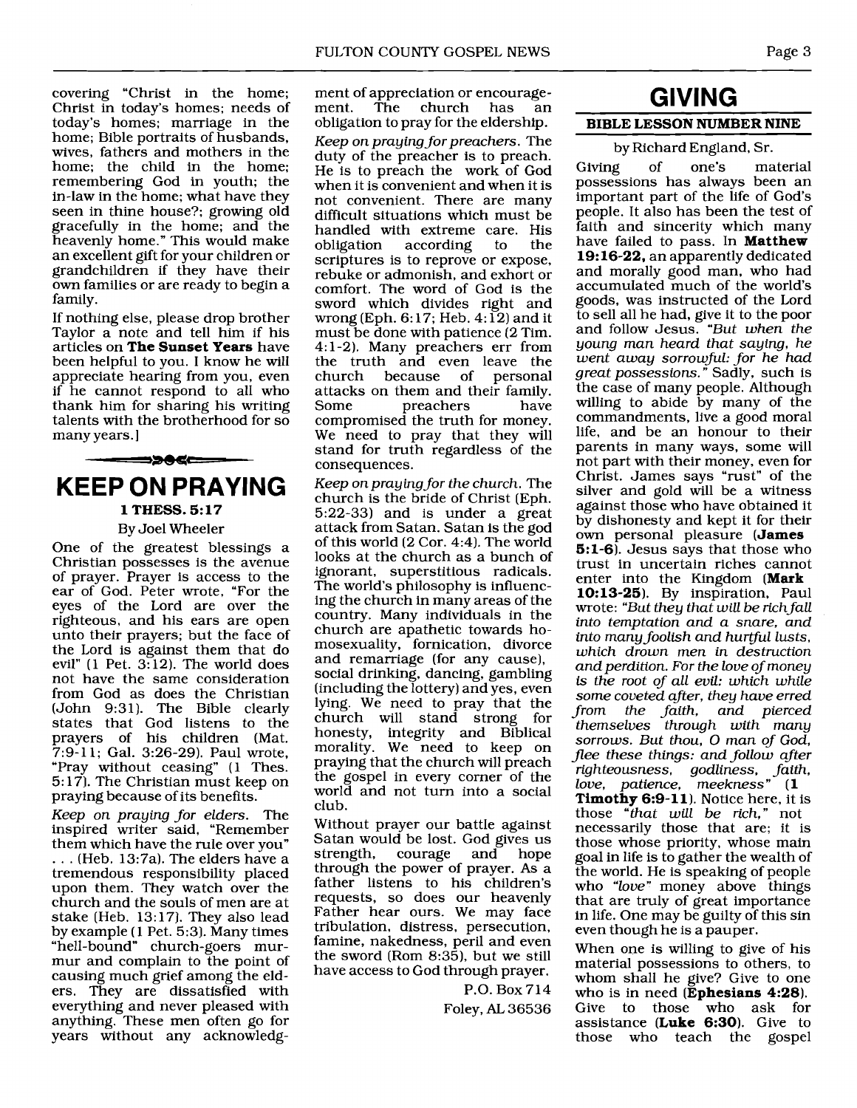covering "Christ in the home; Christ in today's homes; needs of today's homes; marriage in the home; Bible portraits of husbands, wives, fathers and mothers in the home; the child in the home; remembering God in youth; the in-law in the home; what have they seen in thine house?; growing old gracefully in the home; and the heavenly home." This would make an excellent gift for your children or grandchildren if they have their own families or are ready to begin a family.

If nothing else, please drop brother Taylor a note and tell him if his articles on The Sunset Years have been helpful to you. I know he will appreciate hearing from you, even if he cannot respond to all who thank him for sharing his writing talents with the brotherhood for so many years.]



#### By Joel Wheeler

One of the greatest blessings a Christian possesses is the avenue of prayer. Prayer is access to the ear of God. Peter wrote, "For the eyes of the Lord are over the righteous, and his ears are open unto their prayers; but the face of the Lord is against them that do evil"  $(1$  Pet. 3:12). The world does not have the same consideration from God as does the Christian (John 9:31). The Bible clearly states that God listens to the prayers of his children (Mat. 7:9-11; Gal. 3:26-29). Paul wrote, "Pray without ceasing" (1 Thes. 5: 17). The Christian must keep on praying because of its benefits.

Keep on praying for elders. The inspired writer said, "Remember<br>them which have the rule over you"  $\ldots$  (Heb. 13:7a). The elders have a tremendous responsibility placed upon them. They watch over the church and the souls of men are at stake (Heb. 13:17). They also lead by example ( **1** Pet. 5:3). Many times "hell-bound" church-goers murmur and complain to the point of causing much grief among the elders. They are dissatisfied with everything and never pleased with anything. These men often go for years without any acknowledgment of appreciation or encourage-<br>ment. The church has an church obligation to pray for the eldership. Keep on praying for preachers. The duty of the preacher is to preach. He is to preach the work of God when it is convenient and when it is not convenient. There are many difficult situations which must be handled with extreme care. His<br>obligation according to the according scriptures is to reprove or expose, rebuke or admonish, and exhort or comfort. The word of God is the sword which divides right and wrong (Eph.  $6:17$ ; Heb.  $4:12$ ) and it must be done with patience (2 Tim. 4: 1-2). Many preachers err from the truth and even leave the<br>church because of personal church because of attacks on them and their family. preachers compromised the truth for money. We need to pray that they will stand for truth regardless of the consequences.

Keep on praying for the church. The church is the bride of Christ (Eph. 5:22-33) and is under a great attack from Satan. Satan is the god of this world (2 Cor. 4:4). The world looks at the church as a bunch of ignorant, superstitious radicals. The world's philosophy is influencing the church in many areas of the country. Many individuals in the church are apathetic towards homosexuality, fornication, divorce and remarriage (for any cause), social drinking, dancing, gambling (including the lottery) and yes, even lying. We need to pray that the church will stand strong for honesty, integrity and Biblical morality. We need to keep on praying that the church will preach the gospel in every comer of the world and not turn into a social club.

Without prayer our battle against Satan would be lost. God gives us<br>strength, courage and hope strength, courage and hope through the power of prayer. As a father listens to his children's requests, so does our heavenly Father hear ours. We may face tribulation, distress, persecution, famine, nakedness, peril and even the sword (Rom 8:35), but we still have access to God through prayer.

> P.O. Box 714 Foley, **AL** 36536

## **GIVING**  BIBLE LESSON NUMBER NINE

#### by Richard England, Sr.

Giving of one's material possessions has always been an important part of the life of God's people. It also has been the test of faith and sincerity which many have failed to pass. In **Matthew** 19:16-22, an apparently dedicated and morally good man, who had accumulated much of the world's goods, was instructed of the Lord to sell all he had, give it to the poor and follow Jesus. "But when the young man heard that saying, he went away sorrowful: for he had great possessions. " Sadly, such is the case of many people. Although willing to abide by many of the commandments, live a good moral life, and be an honour to their parents in many ways, some will not part with their money, even for Christ. James says "rust" of the silver and gold will be a witness against those who have obtained it by dishonesty and kept it for their own personal pleasure (James 5:1-6). Jesus says that those who trust in uncertain riches cannot enter into the Kingdom (Mark 10:13-25). By inspiration, Paul wrote: "But they that will be rich fall into temptation and a snare, and into many foolish and hurtful lusts, which drown men in destruction and perdition. For the love of money is the root of all evil: which while some coveted after, they have erred<br>from the faith, and pierced from the faith, and pierced themselves through with many sorrows. But thou, **0** man of God, flee these things: and follow after righteousness, godliness, faith, love, patience, meekness" (1 **Timothy 6:9-11**). Notice here, it is those "that will be rich," not necessarily those that are; it is those whose priority, whose main goal in life is to gather the wealth of the world. He is speaking of people

who "love" money above things that are truly of great importance in life. One may be guilty of this sin even though he is a pauper.

When one is willing to give of his material possessions to others, to whom shall he give? Give to one who is in need (Ephesians  $4:28$ ). Give to those who ask for assistance (Luke 6:30). Give to those who teach the gospel